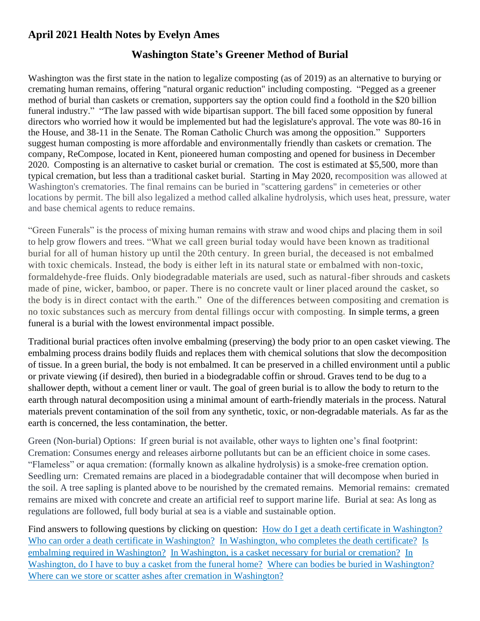## **April 2021 Health Notes by Evelyn Ames**

## **Washington State's Greener Method of Burial**

Washington was the first state in the nation to legalize composting (as of 2019) as an alternative to burying or cremating human remains, offering "natural organic reduction" including composting. "Pegged as a greener method of burial than caskets or cremation, supporters say the option could find a foothold in the \$20 billion funeral industry." "The law passed with wide bipartisan support. The bill faced some opposition by funeral directors who worried how it would be implemented but had the legislature's approval. The vote was 80-16 in the House, and 38-11 in the Senate. The Roman Catholic Church was among the opposition." Supporters suggest human composting is more affordable and environmentally friendly than caskets or cremation. The company, ReCompose, located in Kent, pioneered human composting and opened for business in December 2020. Composting is an alternative to casket burial or cremation. The cost is estimated at \$5,500, more than typical cremation, but less than a traditional casket burial. Starting in May 2020, recomposition was allowed at Washington's crematories. The final remains can be buried in "scattering gardens" in cemeteries or other locations by permit. The bill also legalized a method called alkaline hydrolysis, which uses heat, pressure, water and base chemical agents to reduce remains.

"Green Funerals" is the process of mixing human remains with straw and wood chips and placing them in soil to help grow flowers and trees. "What we call green burial today would have been known as traditional burial for all of human history up until the 20th century. In green burial, the deceased is not embalmed with toxic chemicals. Instead, the body is either left in its natural state or embalmed with non-toxic, formaldehyde-free fluids. Only biodegradable materials are used, such as natural-fiber shrouds and caskets made of pine, wicker, bamboo, or paper. There is no concrete vault or liner placed around the casket, so the body is in direct contact with the earth." One of the differences between compositing and cremation is no toxic substances such as mercury from dental fillings occur with composting. In simple terms, a green funeral is a burial with the lowest environmental impact possible.

Traditional burial practices often involve embalming (preserving) the body prior to an open casket viewing. The embalming process drains bodily fluids and replaces them with chemical solutions that slow the decomposition of tissue. In a green burial, the body is not embalmed. It can be preserved in a chilled environment until a public or private viewing (if desired), then buried in a biodegradable coffin or shroud. Graves tend to be dug to a shallower depth, without a cement liner or vault. The goal of green burial is to allow the body to return to the earth through natural decomposition using a minimal amount of earth-friendly materials in the process. Natural materials prevent contamination of the soil from any synthetic, toxic, or non-degradable materials. As far as the earth is concerned, the less contamination, the better.

Green (Non-burial) Options: If green burial is not available, other ways to lighten one's final footprint: Cremation: Consumes energy and releases airborne pollutants but can be an efficient choice in some cases. "Flameless" or aqua cremation: (formally known as alkaline hydrolysis) is a smoke-free cremation option. Seedling urn: Cremated remains are placed in a biodegradable container that will decompose when buried in the soil. A tree sapling is planted above to be nourished by the cremated remains. Memorial remains: cremated remains are mixed with concrete and create an artificial reef to support marine life. Burial at sea: As long as regulations are followed, full body burial at sea is a viable and sustainable option.

Find answers to following questions by clicking on question: [How do I get a death certificate in Washington?](https://www.nolo.com/legal-encyclopedia/burial-cremation-laws-washington.html#1) [Who can order a death certificate in Washington?](https://www.nolo.com/legal-encyclopedia/burial-cremation-laws-washington.html#2) [In Washington, who completes the death certificate?](https://www.nolo.com/legal-encyclopedia/burial-cremation-laws-washington.html#Certificate) Is [embalming required in Washington?](https://www.nolo.com/legal-encyclopedia/burial-cremation-laws-washington.html#3) [In Washington, is a casket necessary for burial or cremation?](https://www.nolo.com/legal-encyclopedia/burial-cremation-laws-washington.html#4) In [Washington, do I have to buy a casket from the funeral home?](https://www.nolo.com/legal-encyclopedia/burial-cremation-laws-washington.html#5) [Where can bodies be buried in Washington?](https://www.nolo.com/legal-encyclopedia/burial-cremation-laws-washington.html#6)  [Where can we store or scatter ashes after cremation in Washington?](https://www.nolo.com/legal-encyclopedia/burial-cremation-laws-washington.html#7)